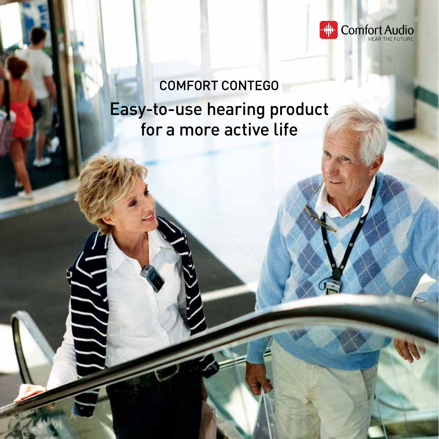

# Comfort Contego Easy-to-use hearing product for a more active life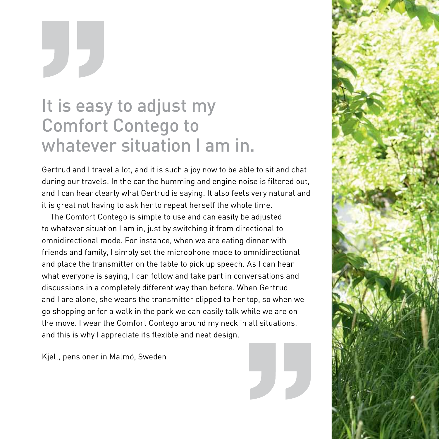### It is easy to adjust my Comfort Contego to whatever situation I am in.

Gertrud and I travel a lot, and it is such a joy now to be able to sit and chat during our travels. In the car the humming and engine noise is filtered out, and I can hear clearly what Gertrud is saying. It also feels very natural and it is great not having to ask her to repeat herself the whole time.

The Comfort Contego is simple to use and can easily be adjusted to whatever situation I am in, just by switching it from directional to omnidirectional mode. For instance, when we are eating dinner with friends and family, I simply set the microphone mode to omnidirectional and place the transmitter on the table to pick up speech. As I can hear what everyone is saying, I can follow and take part in conversations and discussions in a completely different way than before. When Gertrud and I are alone, she wears the transmitter clipped to her top, so when we go shopping or for a walk in the park we can easily talk while we are on the move. I wear the Comfort Contego around my neck in all situations, and this is why I appreciate its flexible and neat design.

Kjell, pensioner in Malmö, Sweden



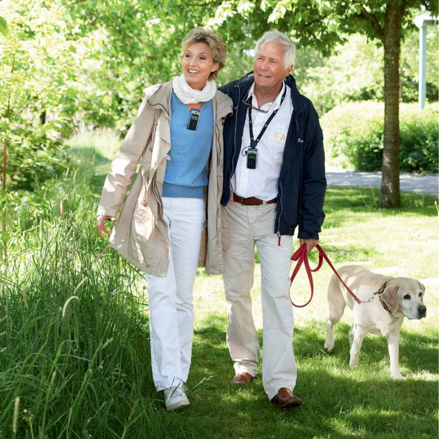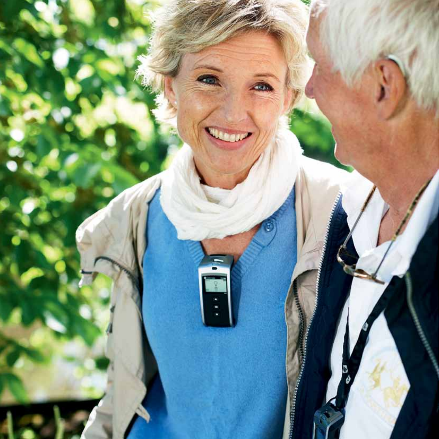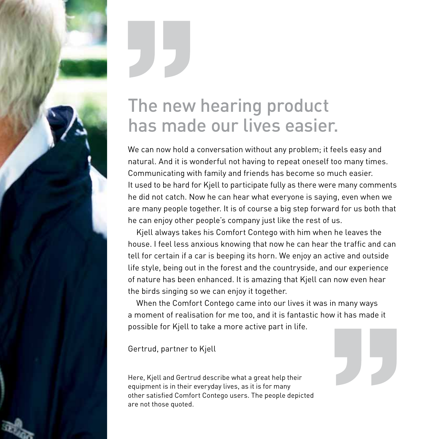### The new hearing product has made our lives easier.

We can now hold a conversation without any problem; it feels easy and natural. And it is wonderful not having to repeat oneself too many times. Communicating with family and friends has become so much easier. It used to be hard for Kjell to participate fully as there were many comments he did not catch. Now he can hear what everyone is saying, even when we are many people together. It is of course a big step forward for us both that he can enjoy other people's company just like the rest of us.

Kjell always takes his Comfort Contego with him when he leaves the house. I feel less anxious knowing that now he can hear the traffic and can tell for certain if a car is beeping its horn. We enjoy an active and outside life style, being out in the forest and the countryside, and our experience of nature has been enhanced. It is amazing that Kjell can now even hear the birds singing so we can enjoy it together.

When the Comfort Contego came into our lives it was in many ways a moment of realisation for me too, and it is fantastic how it has made it possible for Kjell to take a more active part in life.

Gertrud, partner to Kjell

Here, Kjell and Gertrud describe what a great help their equipment is in their everyday lives, as it is for many other satisfied Comfort Contego users. The people depicted are not those quoted.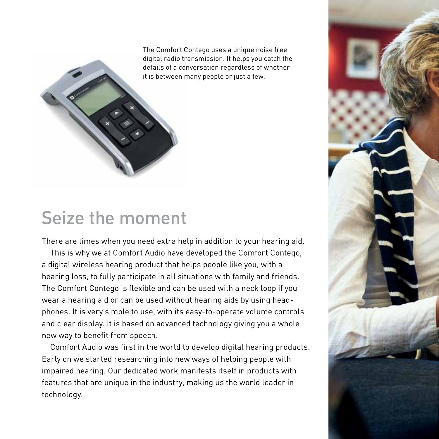The Comfort Contego uses a unique noise free digital radio transmission. It helps you catch the details of a conversation regardless of whether it is between many people or just a few.

### Seize the moment

There are times when you need extra help in addition to your hearing aid.

This is why we at Comfort Audio have developed the Comfort Contego, a digital wireless hearing product that helps people like you, with a hearing loss, to fully participate in all situations with family and friends. The Comfort Contego is flexible and can be used with a neck loop if you wear a hearing aid or can be used without hearing aids by using headphones. It is very simple to use, with its easy-to-operate volume controls and clear display. It is based on advanced technology giving you a whole new way to benefit from speech.

Comfort Audio was first in the world to develop digital hearing products. Early on we started researching into new ways of helping people with impaired hearing. Our dedicated work manifests itself in products with features that are unique in the industry, making us the world leader in technology.

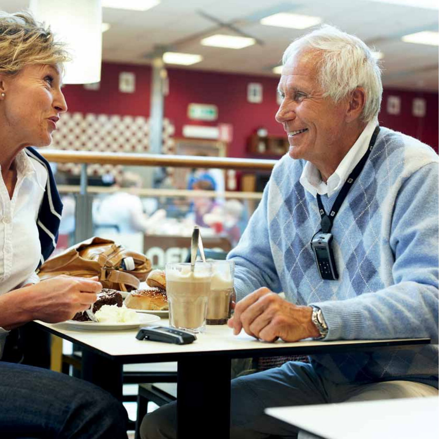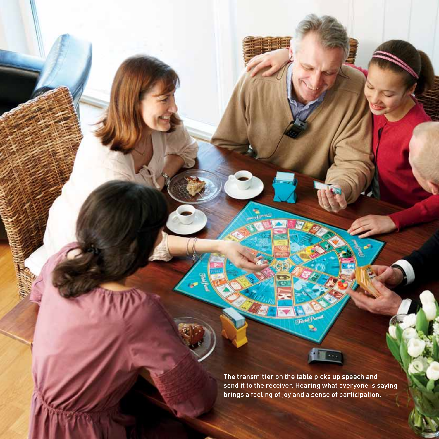The transmitter on the table picks up speech and send it to the receiver. Hearing what everyone is saying brings a feeling of joy and a sense of participation.

**Thew Page** 鬼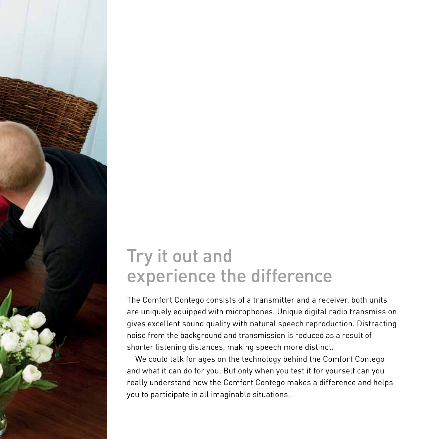### Try it out and experience the difference

The Comfort Contego consists of a transmitter and a receiver, both units are uniquely equipped with microphones. Unique digital radio transmission gives excellent sound quality with natural speech reproduction. Distracting noise from the background and transmission is reduced as a result of shorter listening distances, making speech more distinct.

We could talk for ages on the technology behind the Comfort Contego and what it can do for you. But only when you test it for yourself can you really understand how the Comfort Contego makes a difference and helps you to participate in all imaginable situations.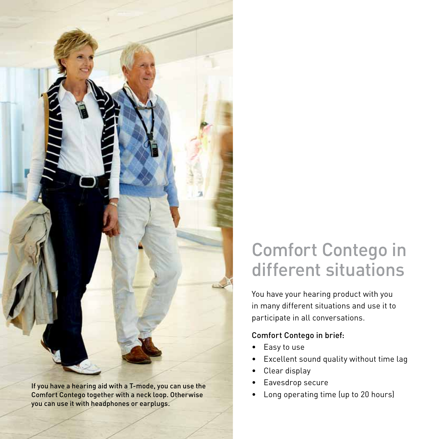If you have a hearing aid with a T-mode, you can use the Comfort Contego together with a neck loop. Otherwise you can use it with headphones or earplugs.

### Comfort Contego in different situations

You have your hearing product with you in many different situations and use it to participate in all conversations.

### Comfort Contego in brief:

- • Easy to use
- Excellent sound quality without time lag
- Clear display
- Eavesdrop secure
- Long operating time (up to 20 hours)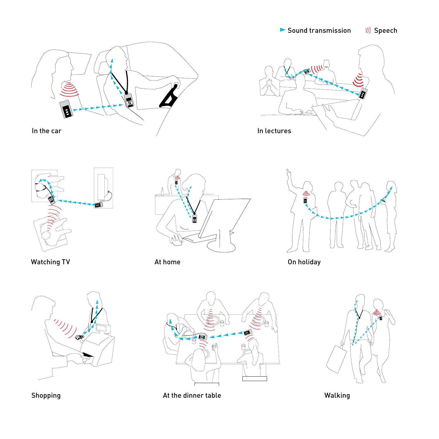





Watching TV **At home** 





On holiday





Shopping **At the dinner table** Malking Malking